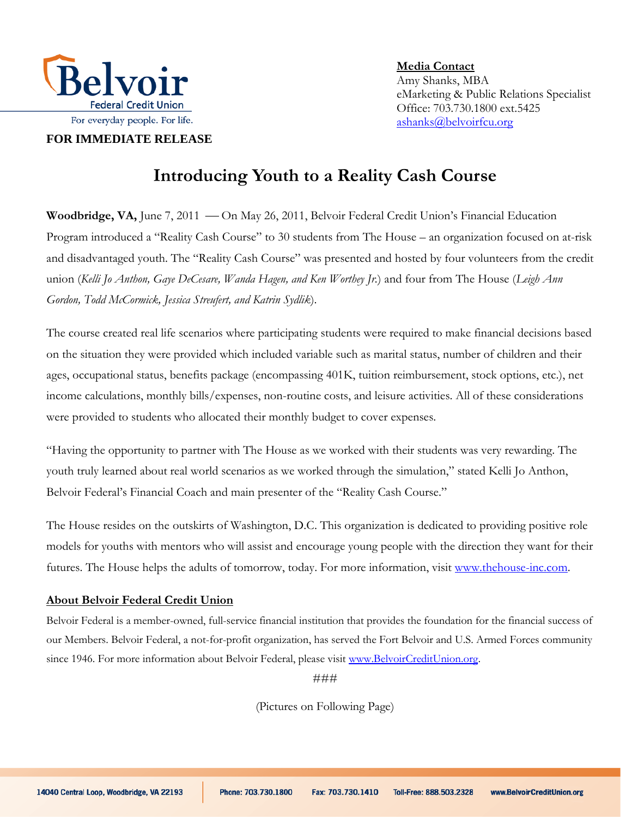

**FOR IMMEDIATE RELEASE**

**Media Contact**  Amy Shanks, MBA eMarketing & Public Relations Specialist Office: 703.730.1800 ext.5425 ashanks@belvoirfcu.org

## **Introducing Youth to a Reality Cash Course**

Woodbridge, VA, June 7, 2011 — On May 26, 2011, Belvoir Federal Credit Union's Financial Education Program introduced a "Reality Cash Course" to 30 students from The House – an organization focused on at-risk and disadvantaged youth. The "Reality Cash Course" was presented and hosted by four volunteers from the credit union (*Kelli Jo Anthon, Gaye DeCesare, Wanda Hagen, and Ken Worthey Jr.*) and four from The House (*Leigh Ann Gordon, Todd McCormick, Jessica Streufert, and Katrin Sydlik*).

The course created real life scenarios where participating students were required to make financial decisions based on the situation they were provided which included variable such as marital status, number of children and their ages, occupational status, benefits package (encompassing 401K, tuition reimbursement, stock options, etc.), net income calculations, monthly bills/expenses, non-routine costs, and leisure activities. All of these considerations were provided to students who allocated their monthly budget to cover expenses.

"Having the opportunity to partner with The House as we worked with their students was very rewarding. The youth truly learned about real world scenarios as we worked through the simulation," stated Kelli Jo Anthon, Belvoir Federal's Financial Coach and main presenter of the "Reality Cash Course."

The House resides on the outskirts of Washington, D.C. This organization is dedicated to providing positive role models for youths with mentors who will assist and encourage young people with the direction they want for their futures. The House helps the adults of tomorrow, today. For more information, visit [www.thehouse-inc.com.](http://www.thehouse-inc.com/)

## **About Belvoir Federal Credit Union**

Belvoir Federal is a member-owned, full-service financial institution that provides the foundation for the financial success of our Members. Belvoir Federal, a not-for-profit organization, has served the Fort Belvoir and U.S. Armed Forces community since 1946. For more information about Belvoir Federal, please visi[t www.BelvoirCreditUnion.org.](http://www.belvoircreditunion.org/)

###

(Pictures on Following Page)